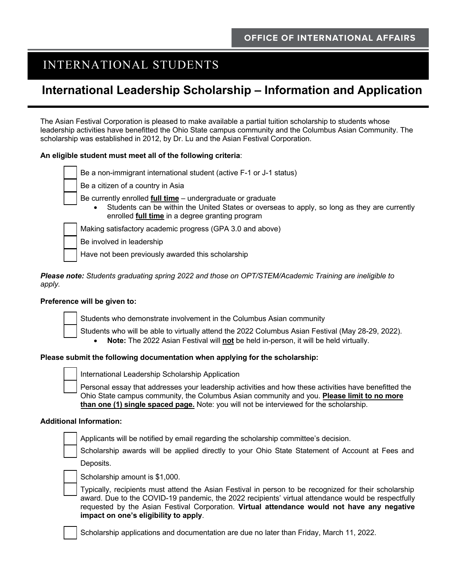## INTERNATIONAL STUDENTS

# **International Leadership Scholarship – Information and Application**

The Asian Festival Corporation is pleased to make available a partial tuition scholarship to students whose leadership activities have benefitted the Ohio State campus community and the Columbus Asian Community. The scholarship was established in 2012, by Dr. Lu and the Asian Festival Corporation.

#### **An eligible student must meet all of the following criteria**:

|  | Be a non-immigrant international student (active F-1 or J-1 status)                                                                                                                                                   |  |  |
|--|-----------------------------------------------------------------------------------------------------------------------------------------------------------------------------------------------------------------------|--|--|
|  | Be a citizen of a country in Asia                                                                                                                                                                                     |  |  |
|  | Be currently enrolled full time - undergraduate or graduate<br>Students can be within the United States or overseas to apply, so long as they are currently<br>enrolled <b>full time</b> in a degree granting program |  |  |
|  | Making satisfactory academic progress (GPA 3.0 and above)                                                                                                                                                             |  |  |
|  | Be involved in leadership                                                                                                                                                                                             |  |  |

Have not been previously awarded this scholarship

*Please note: Students graduating spring 2022 and those on OPT/STEM/Academic Training are ineligible to apply.* 

#### **Preference will be given to:**



Students who demonstrate involvement in the Columbus Asian community

Students who will be able to virtually attend the 2022 Columbus Asian Festival (May 28-29, 2022). • **Note:** The 2022 Asian Festival will **not** be held in-person, it will be held virtually.

#### **Please submit the following documentation when applying for the scholarship:**

International Leadership Scholarship Application

Personal essay that addresses your leadership activities and how these activities have benefitted the Ohio State campus community, the Columbus Asian community and you. **Please limit to no more than one (1) single spaced page.** Note: you will not be interviewed for the scholarship.

#### **Additional Information:**

Applicants will be notified by email regarding the scholarship committee's decision.

Scholarship awards will be applied directly to your Ohio State Statement of Account at Fees and

Deposits.



Typically, recipients must attend the Asian Festival in person to be recognized for their scholarship award. Due to the COVID-19 pandemic, the 2022 recipients' virtual attendance would be respectfully requested by the Asian Festival Corporation. **Virtual attendance would not have any negative impact on one's eligibility to apply**.

Scholarship applications and documentation are due no later than Friday, March 11, 2022.